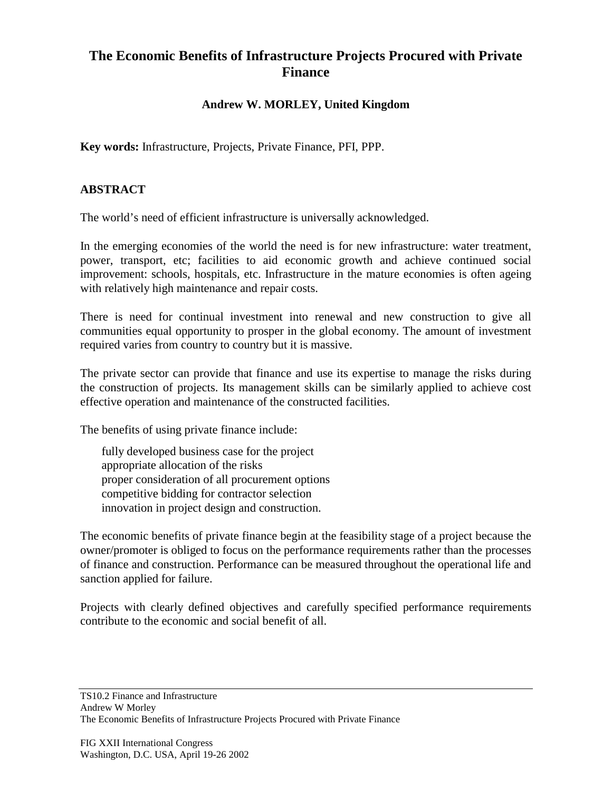## **The Economic Benefits of Infrastructure Projects Procured with Private Finance**

## **Andrew W. MORLEY, United Kingdom**

**Key words:** Infrastructure, Projects, Private Finance, PFI, PPP.

## **ABSTRACT**

The world's need of efficient infrastructure is universally acknowledged.

In the emerging economies of the world the need is for new infrastructure: water treatment, power, transport, etc; facilities to aid economic growth and achieve continued social improvement: schools, hospitals, etc. Infrastructure in the mature economies is often ageing with relatively high maintenance and repair costs.

There is need for continual investment into renewal and new construction to give all communities equal opportunity to prosper in the global economy. The amount of investment required varies from country to country but it is massive.

The private sector can provide that finance and use its expertise to manage the risks during the construction of projects. Its management skills can be similarly applied to achieve cost effective operation and maintenance of the constructed facilities.

The benefits of using private finance include:

fully developed business case for the project appropriate allocation of the risks proper consideration of all procurement options competitive bidding for contractor selection innovation in project design and construction.

The economic benefits of private finance begin at the feasibility stage of a project because the owner/promoter is obliged to focus on the performance requirements rather than the processes of finance and construction. Performance can be measured throughout the operational life and sanction applied for failure.

Projects with clearly defined objectives and carefully specified performance requirements contribute to the economic and social benefit of all.